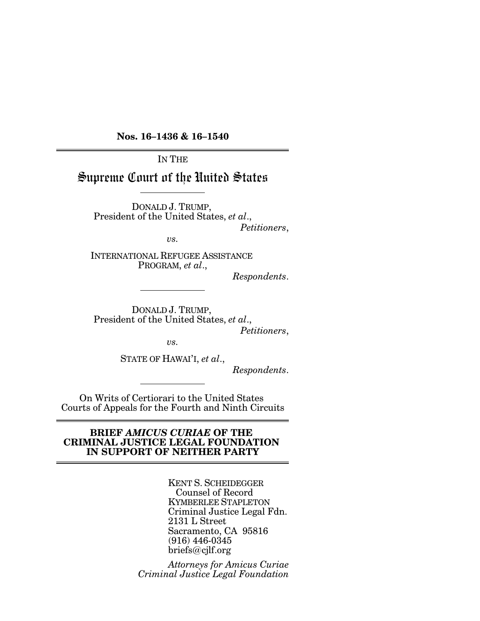**Nos. 16–1436 & 16–1540**

IN THE

Supreme Court of the United States

DONALD J. TRUMP, President of the United States, *et al*., *Petitioners*,

*vs.*

INTERNATIONAL REFUGEE ASSISTANCE PROGRAM, *et al*.,

*Respondents*.

DONALD J. TRUMP, President of the United States, *et al*., *Petitioners*,

*vs.*

STATE OF HAWAI'I, *et al*.,

*Respondents*.

On Writs of Certiorari to the United States Courts of Appeals for the Fourth and Ninth Circuits

### **BRIEF** *AMICUS CURIAE* **OF THE CRIMINAL JUSTICE LEGAL FOUNDATION IN SUPPORT OF NEITHER PARTY**

KENT S. SCHEIDEGGER Counsel of Record KYMBERLEE STAPLETON Criminal Justice Legal Fdn. 2131 L Street Sacramento, CA 95816 (916) 446-0345 briefs@cjlf.org

*Attorneys for Amicus Curiae Criminal Justice Legal Foundation*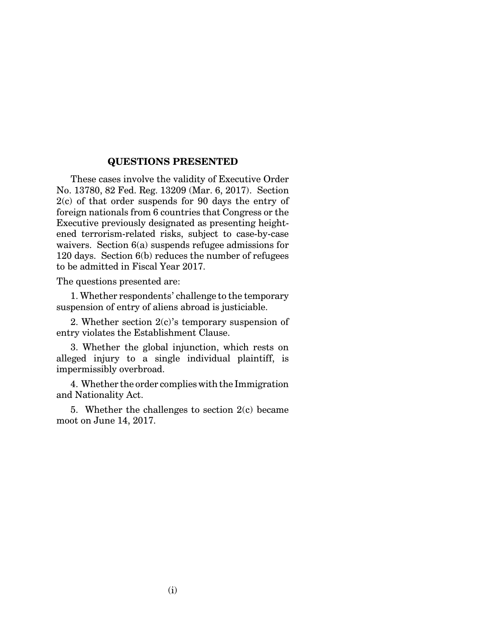#### **QUESTIONS PRESENTED**

These cases involve the validity of Executive Order No. 13780, 82 Fed. Reg. 13209 (Mar. 6, 2017). Section 2(c) of that order suspends for 90 days the entry of foreign nationals from 6 countries that Congress or the Executive previously designated as presenting heightened terrorism-related risks, subject to case-by-case waivers. Section 6(a) suspends refugee admissions for 120 days. Section 6(b) reduces the number of refugees to be admitted in Fiscal Year 2017.

The questions presented are:

1. Whether respondents' challenge to the temporary suspension of entry of aliens abroad is justiciable.

2. Whether section 2(c)'s temporary suspension of entry violates the Establishment Clause.

3. Whether the global injunction, which rests on alleged injury to a single individual plaintiff, is impermissibly overbroad.

4. Whether the order complies with the Immigration and Nationality Act.

5. Whether the challenges to section  $2(c)$  became moot on June 14, 2017.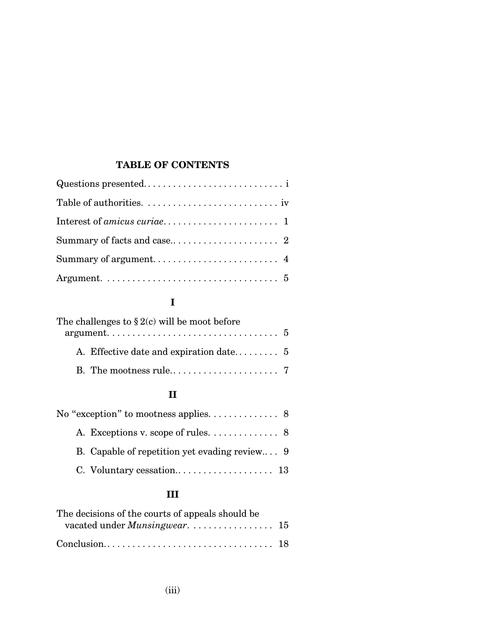# **TABLE OF CONTENTS**

# **I**

| The challenges to $\S 2(c)$ will be moot before                                     |  |
|-------------------------------------------------------------------------------------|--|
| $argument. \ldots \ldots \ldots \ldots \ldots \ldots \ldots \ldots \ldots \ldots 5$ |  |
|                                                                                     |  |
|                                                                                     |  |

# **II**

| No "exception" to mootness applies. $\dots \dots \dots \dots$ 8 |  |
|-----------------------------------------------------------------|--|
|                                                                 |  |
| B. Capable of repetition yet evading review 9                   |  |
|                                                                 |  |

# **III**

| The decisions of the courts of appeals should be |  |
|--------------------------------------------------|--|
|                                                  |  |
|                                                  |  |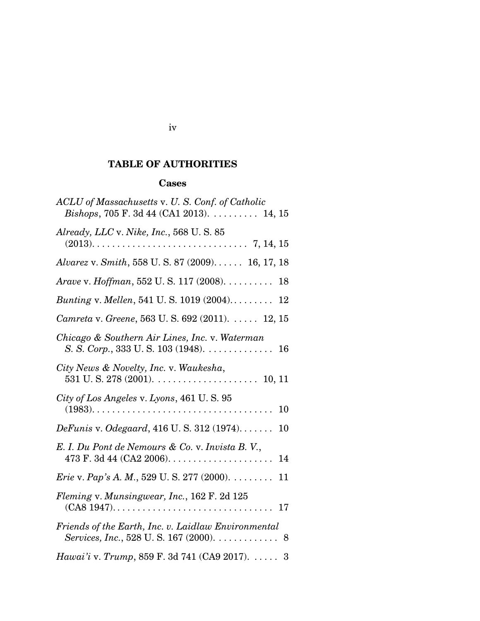# **TABLE OF AUTHORITIES**

## **Cases**

| ACLU of Massachusetts v. U.S. Conf. of Catholic<br>Bishops, 705 F. 3d 44 (CA1 2013). 14, 15   |
|-----------------------------------------------------------------------------------------------|
| Already, LLC v. Nike, Inc., 568 U.S. 85                                                       |
| Alvarez v. Smith, 558 U.S. 87 (2009) 16, 17, 18                                               |
| Arave v. Hoffman, 552 U.S. 117 (2008). 18                                                     |
| Bunting v. Mellen, 541 U.S. 1019 (2004) 12                                                    |
| Camreta v. Greene, 563 U.S. 692 (2011).  12, 15                                               |
| Chicago & Southern Air Lines, Inc. v. Waterman<br>S. S. Corp., 333 U. S. 103 (1948). 16       |
| City News & Novelty, Inc. v. Waukesha,                                                        |
| City of Los Angeles v. Lyons, 461 U.S. 95<br>10                                               |
| <i>DeFunis v. Odegaard</i> , 416 U.S. 312 (1974)<br>10                                        |
| E. I. Du Pont de Nemours & Co. v. Invista B. V.,<br>14                                        |
| <i>Erie</i> v. <i>Pap's A. M.</i> , 529 U. S. 277 (2000). $\dots \dots$<br>11                 |
| Fleming v. Munsingwear, Inc., 162 F. 2d 125                                                   |
| Friends of the Earth, Inc. v. Laidlaw Environmental<br>Services, Inc., 528 U.S. 167 (2000). 8 |
| Hawai'i v. Trump, 859 F. 3d 741 (CA9 2017). 3                                                 |

## iv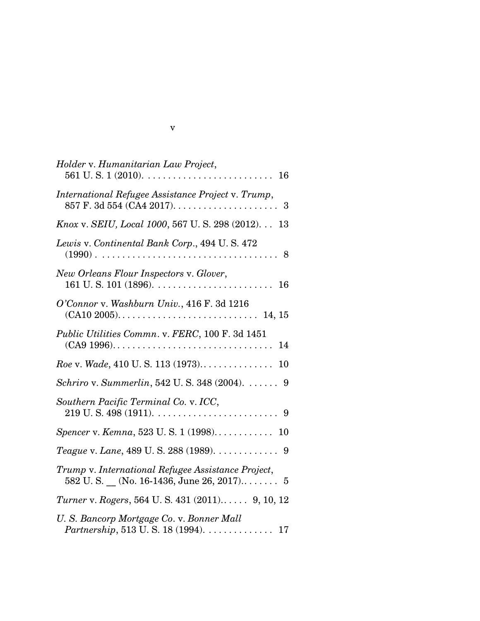| Holder v. Humanitarian Law Project,                                                                                   |
|-----------------------------------------------------------------------------------------------------------------------|
| International Refugee Assistance Project v. Trump,                                                                    |
| Knox v. SEIU, Local 1000, 567 U.S. 298 (2012) 13                                                                      |
| Lewis v. Continental Bank Corp., 494 U.S. 472                                                                         |
| New Orleans Flour Inspectors v. Glover,                                                                               |
| O'Connor v. Washburn Univ., 416 F. 3d 1216                                                                            |
| Public Utilities Commn. v. FERC, 100 F. 3d 1451<br>14                                                                 |
|                                                                                                                       |
| Schriro v. Summerlin, 542 U.S. 348 (2004). 9                                                                          |
| Southern Pacific Terminal Co. v. ICC,                                                                                 |
| <i>Spencer v. Kemna, 523 U.S. 1 (1998)</i> 10                                                                         |
| Teague v. Lane, 489 U. S. 288 (1989). 9                                                                               |
| Trump v. International Refugee Assistance Project,                                                                    |
| Turner v. Rogers, 564 U.S. 431 (2011) 9, 10, 12                                                                       |
| U.S. Bancorp Mortgage Co. v. Bonner Mall<br><i>Partnership</i> , 513 U.S. 18 (1994). $\ldots \ldots \ldots \ldots 17$ |

| ۹ |  |
|---|--|
|   |  |
|   |  |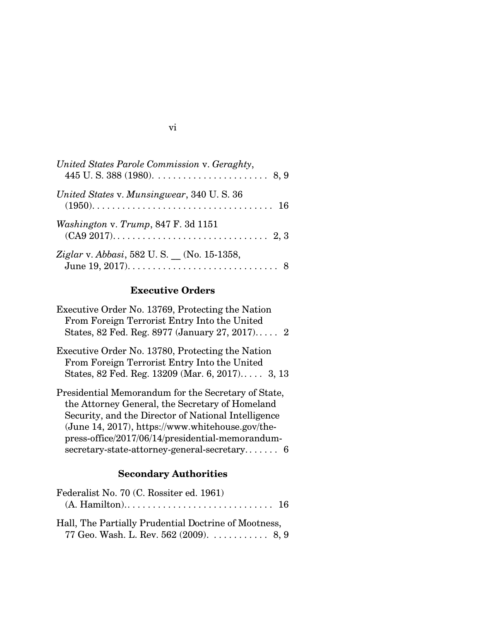| United States Parole Commission v. Geraghty,     |
|--------------------------------------------------|
| United States v. Munsingwear, 340 U.S. 36        |
| Washington v. Trump, 847 F. 3d 1151              |
| <i>Ziglar v. Abbasi</i> , 582 U.S. (No. 15-1358, |

# **Executive Orders**

| Executive Order No. 13769, Protecting the Nation    |
|-----------------------------------------------------|
| From Foreign Terrorist Entry Into the United        |
| States, 82 Fed. Reg. 8977 (January 27, 2017) 2      |
| Executive Order No. 13780, Protecting the Nation    |
| From Foreign Terrorist Entry Into the United        |
| States, 82 Fed. Reg. 13209 (Mar. 6, 2017) 3, 13     |
| Presidential Memorandum for the Secretary of State, |
| the Attorney General, the Secretary of Homeland     |
| Security, and the Director of National Intelligence |
| (June 14, 2017), https://www.whitehouse.gov/the-    |
| press-office/2017/06/14/presidential-memorandum-    |
| $secretary-state-attorney-generated-secretary$ 6    |

# **Secondary Authorities**

| Federalist No. 70 (C. Rossiter ed. 1961)             |  |
|------------------------------------------------------|--|
|                                                      |  |
| Hall, The Partially Prudential Doctrine of Mootness, |  |
| 77 Geo. Wash. L. Rev. 562 (2009). $\dots$ 8, 9       |  |

# vi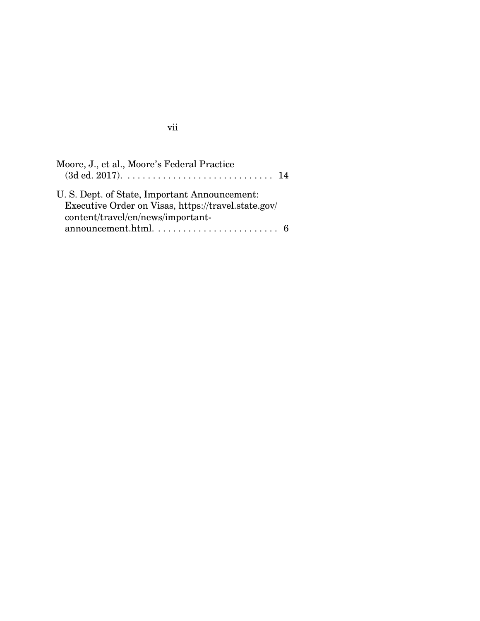| Moore, J., et al., Moore's Federal Practice                                                          |  |
|------------------------------------------------------------------------------------------------------|--|
| U. S. Dept. of State, Important Announcement:<br>Executive Order on Visas, https://travel.state.gov/ |  |
| content/travel/en/news/important-                                                                    |  |

# vii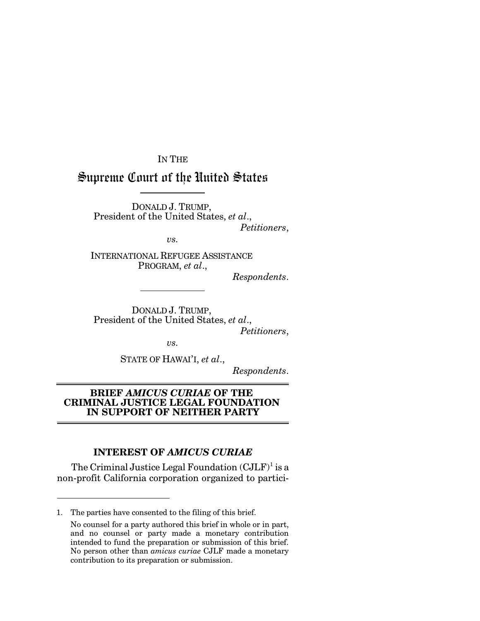IN THE

# Supreme Court of the United States

DONALD J. TRUMP, President of the United States, *et al*., *Petitioners*,

*vs.*

INTERNATIONAL REFUGEE ASSISTANCE PROGRAM, *et al*.,

*Respondents*.

DONALD J. TRUMP, President of the United States, *et al*., *Petitioners*,

*vs.*

STATE OF HAWAI'I, *et al*.,

*Respondents*.

## **BRIEF** *AMICUS CURIAE* **OF THE CRIMINAL JUSTICE LEGAL FOUNDATION IN SUPPORT OF NEITHER PARTY**

## **INTEREST OF** *AMICUS CURIAE*

The Criminal Justice Legal Foundation  $(CJLF)^1$  is a non-profit California corporation organized to partici-

<sup>1.</sup> The parties have consented to the filing of this brief.

No counsel for a party authored this brief in whole or in part, and no counsel or party made a monetary contribution intended to fund the preparation or submission of this brief. No person other than *amicus curiae* CJLF made a monetary contribution to its preparation or submission.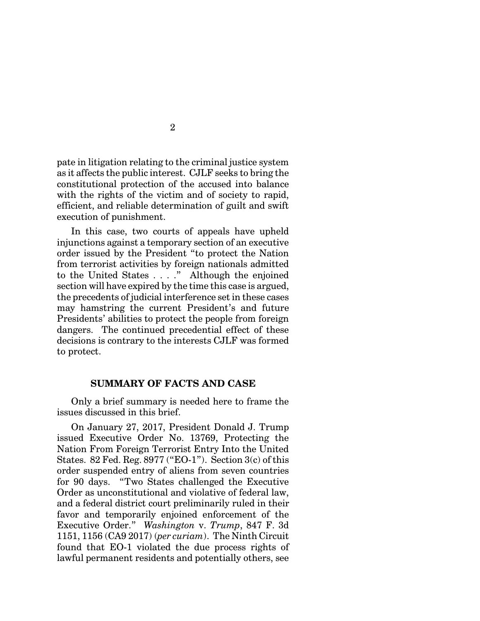pate in litigation relating to the criminal justice system as it affects the public interest. CJLF seeks to bring the constitutional protection of the accused into balance with the rights of the victim and of society to rapid, efficient, and reliable determination of guilt and swift execution of punishment.

In this case, two courts of appeals have upheld injunctions against a temporary section of an executive order issued by the President "to protect the Nation from terrorist activities by foreign nationals admitted to the United States . . . ." Although the enjoined section will have expired by the time this case is argued, the precedents of judicial interference set in these cases may hamstring the current President's and future Presidents' abilities to protect the people from foreign dangers. The continued precedential effect of these decisions is contrary to the interests CJLF was formed to protect.

### **SUMMARY OF FACTS AND CASE**

Only a brief summary is needed here to frame the issues discussed in this brief.

On January 27, 2017, President Donald J. Trump issued Executive Order No. 13769, Protecting the Nation From Foreign Terrorist Entry Into the United States. 82 Fed. Reg. 8977 ("EO-1"). Section 3(c) of this order suspended entry of aliens from seven countries for 90 days. "Two States challenged the Executive Order as unconstitutional and violative of federal law, and a federal district court preliminarily ruled in their favor and temporarily enjoined enforcement of the Executive Order." *Washington* v. *Trump*, 847 F. 3d 1151, 1156 (CA9 2017) (*per curiam*). The Ninth Circuit found that EO-1 violated the due process rights of lawful permanent residents and potentially others, see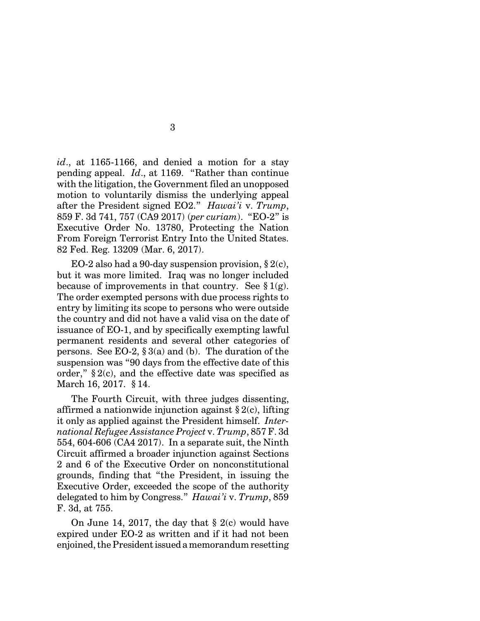*id*., at 1165-1166, and denied a motion for a stay pending appeal. *Id*., at 1169. "Rather than continue with the litigation, the Government filed an unopposed motion to voluntarily dismiss the underlying appeal after the President signed EO2." *Hawai'i* v. *Trump*, 859 F. 3d 741, 757 (CA9 2017) (*per curiam*). "EO-2" is Executive Order No. 13780, Protecting the Nation From Foreign Terrorist Entry Into the United States. 82 Fed. Reg. 13209 (Mar. 6, 2017).

EO-2 also had a 90-day suspension provision,  $\S 2(c)$ , but it was more limited. Iraq was no longer included because of improvements in that country. See  $\S 1(g)$ . The order exempted persons with due process rights to entry by limiting its scope to persons who were outside the country and did not have a valid visa on the date of issuance of EO-1, and by specifically exempting lawful permanent residents and several other categories of persons. See EO-2,  $\S 3(a)$  and (b). The duration of the suspension was "90 days from the effective date of this order,"  $\S 2(c)$ , and the effective date was specified as March 16, 2017. § 14.

The Fourth Circuit, with three judges dissenting, affirmed a nationwide injunction against  $\S 2(c)$ , lifting it only as applied against the President himself. *International Refugee Assistance Project* v. *Trump*, 857 F. 3d 554, 604-606 (CA4 2017). In a separate suit, the Ninth Circuit affirmed a broader injunction against Sections 2 and 6 of the Executive Order on nonconstitutional grounds, finding that "the President, in issuing the Executive Order, exceeded the scope of the authority delegated to him by Congress." *Hawai'i* v. *Trump*, 859 F. 3d, at 755.

On June 14, 2017, the day that § 2(c) would have expired under EO-2 as written and if it had not been enjoined, the Presidentissued a memorandum resetting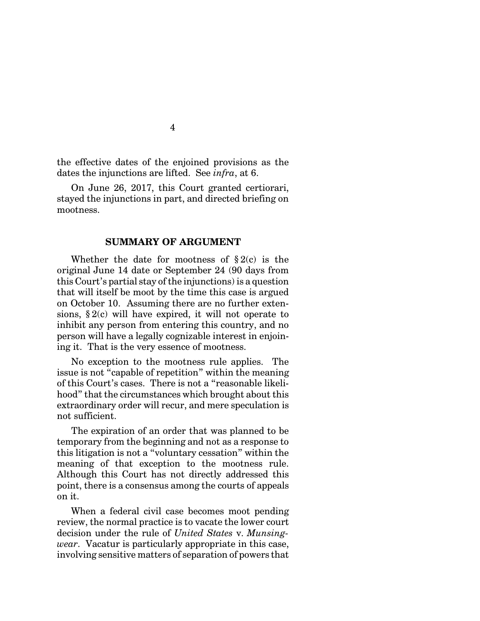the effective dates of the enjoined provisions as the dates the injunctions are lifted. See *infra*, at 6.

On June 26, 2017, this Court granted certiorari, stayed the injunctions in part, and directed briefing on mootness.

## **SUMMARY OF ARGUMENT**

Whether the date for mootness of  $\S 2(c)$  is the original June 14 date or September 24 (90 days from this Court's partial stay of the injunctions) is a question that will itself be moot by the time this case is argued on October 10. Assuming there are no further extensions,  $\S 2(c)$  will have expired, it will not operate to inhibit any person from entering this country, and no person will have a legally cognizable interest in enjoining it. That is the very essence of mootness.

No exception to the mootness rule applies. The issue is not "capable of repetition" within the meaning of this Court's cases. There is not a "reasonable likelihood" that the circumstances which brought about this extraordinary order will recur, and mere speculation is not sufficient.

The expiration of an order that was planned to be temporary from the beginning and not as a response to this litigation is not a "voluntary cessation" within the meaning of that exception to the mootness rule. Although this Court has not directly addressed this point, there is a consensus among the courts of appeals on it.

When a federal civil case becomes moot pending review, the normal practice is to vacate the lower court decision under the rule of *United States* v. *Munsingwear*. Vacatur is particularly appropriate in this case, involving sensitive matters of separation of powers that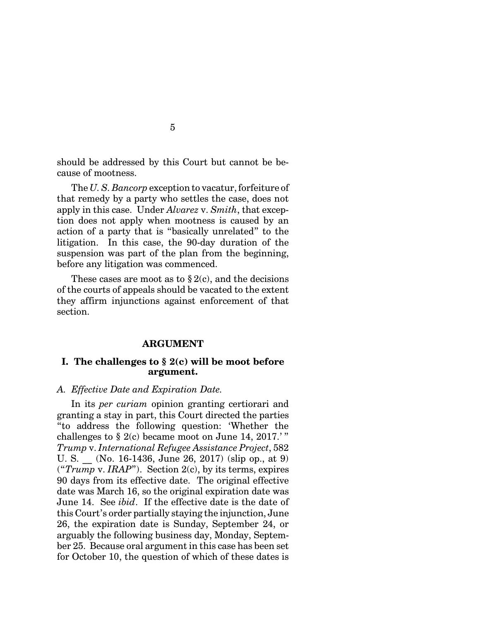should be addressed by this Court but cannot be because of mootness.

The *U. S. Bancorp* exception to vacatur, forfeiture of that remedy by a party who settles the case, does not apply in this case. Under *Alvarez* v. *Smith*, that exception does not apply when mootness is caused by an action of a party that is "basically unrelated" to the litigation. In this case, the 90-day duration of the suspension was part of the plan from the beginning, before any litigation was commenced.

These cases are moot as to  $\S 2(c)$ , and the decisions of the courts of appeals should be vacated to the extent they affirm injunctions against enforcement of that section.

#### **ARGUMENT**

### **I. The challenges to § 2(c) will be moot before argument.**

### *A. Effective Date and Expiration Date.*

In its *per curiam* opinion granting certiorari and granting a stay in part, this Court directed the parties "to address the following question: 'Whether the challenges to  $\S 2(c)$  became moot on June 14, 2017.'" *Trump* v. *International Refugee Assistance Project*, 582 U. S. \_\_ (No. 16-1436, June 26, 2017) (slip op., at 9) ("*Trump* v. *IRAP*"). Section 2(c), by its terms, expires 90 days from its effective date. The original effective date was March 16, so the original expiration date was June 14. See *ibid*. If the effective date is the date of this Court's order partially staying the injunction, June 26, the expiration date is Sunday, September 24, or arguably the following business day, Monday, September 25. Because oral argument in this case has been set for October 10, the question of which of these dates is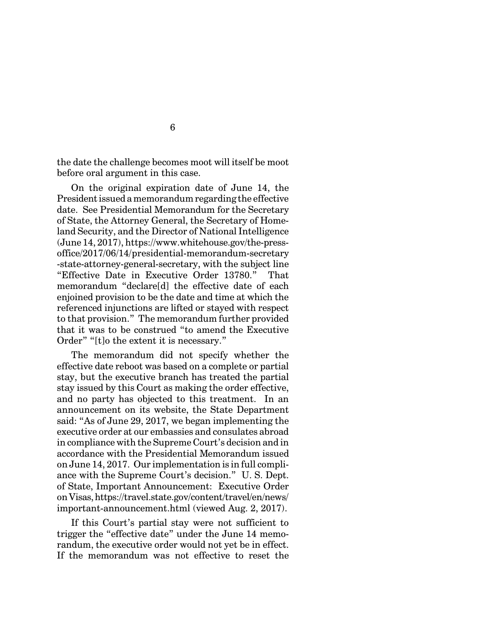the date the challenge becomes moot will itself be moot before oral argument in this case.

On the original expiration date of June 14, the Presidentissued a memorandum regarding the effective date. See Presidential Memorandum for the Secretary of State, the Attorney General, the Secretary of Homeland Security, and the Director of National Intelligence (June 14, 2017), https://www.whitehouse.gov/the-pressoffice/2017/06/14/presidential-memorandum-secretary -state-attorney-general-secretary, with the subject line "Effective Date in Executive Order 13780." That memorandum "declare[d] the effective date of each enjoined provision to be the date and time at which the referenced injunctions are lifted or stayed with respect to that provision." The memorandum further provided that it was to be construed "to amend the Executive Order" "[t]o the extent it is necessary."

The memorandum did not specify whether the effective date reboot was based on a complete or partial stay, but the executive branch has treated the partial stay issued by this Court as making the order effective, and no party has objected to this treatment. In an announcement on its website, the State Department said: "As of June 29, 2017, we began implementing the executive order at our embassies and consulates abroad in compliance with the Supreme Court's decision and in accordance with the Presidential Memorandum issued on June 14, 2017. Our implementation is in full compliance with the Supreme Court's decision." U. S. Dept. of State, Important Announcement: Executive Order on Visas,https://travel.state.gov/content/travel/en/news/ important-announcement.html (viewed Aug. 2, 2017).

If this Court's partial stay were not sufficient to trigger the "effective date" under the June 14 memorandum, the executive order would not yet be in effect. If the memorandum was not effective to reset the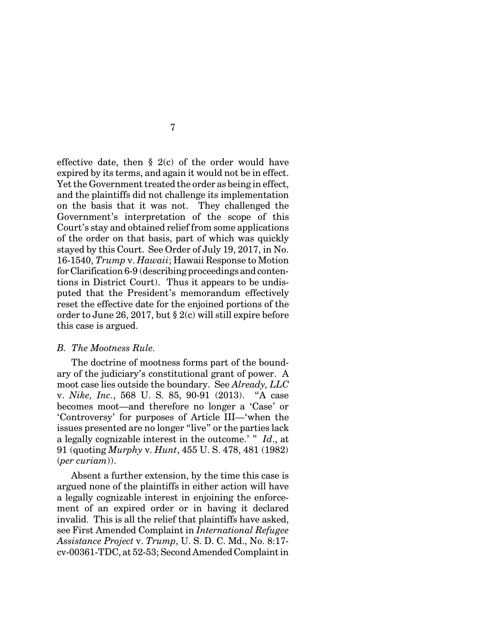effective date, then  $\S$  2(c) of the order would have expired by its terms, and again it would not be in effect. Yet the Government treated the order as being in effect, and the plaintiffs did not challenge its implementation on the basis that it was not. They challenged the Government's interpretation of the scope of this Court's stay and obtained relief from some applications of the order on that basis, part of which was quickly stayed by this Court. See Order of July 19, 2017, in No. 16-1540, *Trump* v. *Hawaii*; Hawaii Response to Motion forClarification 6-9 (describing proceedings and contentions in District Court). Thus it appears to be undisputed that the President's memorandum effectively reset the effective date for the enjoined portions of the order to June 26, 2017, but § 2(c) will still expire before this case is argued.

### *B. The Mootness Rule.*

The doctrine of mootness forms part of the boundary of the judiciary's constitutional grant of power. A moot case lies outside the boundary. See *Already, LLC* v. *Nike, Inc.*, 568 U. S. 85, 90-91 (2013). "A case becomes moot—and therefore no longer a 'Case' or 'Controversy' for purposes of Article III—'when the issues presented are no longer "live" or the parties lack a legally cognizable interest in the outcome.' " *Id*., at 91 (quoting *Murphy* v. *Hunt*, 455 U. S. 478, 481 (1982) (*per curiam*)).

Absent a further extension, by the time this case is argued none of the plaintiffs in either action will have a legally cognizable interest in enjoining the enforcement of an expired order or in having it declared invalid. This is all the relief that plaintiffs have asked, see First Amended Complaint in *International Refugee Assistance Project* v. *Trump*, U. S. D. C. Md., No. 8:17 cv-00361-TDC, at 52-53; Second Amended Complaint in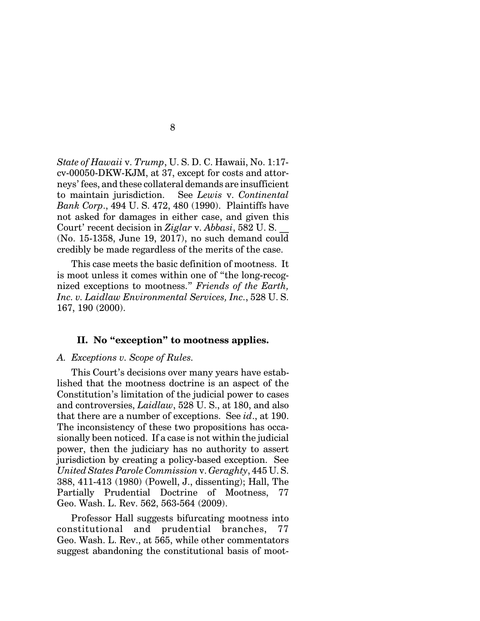*State of Hawaii* v. *Trump*, U. S. D. C. Hawaii, No. 1:17 cv-00050-DKW-KJM, at 37, except for costs and attorneys' fees, and these collateral demands are insufficient to maintain jurisdiction. See *Lewis* v. *Continental Bank Corp*., 494 U. S. 472, 480 (1990). Plaintiffs have not asked for damages in either case, and given this Court' recent decision in *Ziglar* v. *Abbasi*, 582 U. S. \_\_ (No. 15-1358, June 19, 2017), no such demand could credibly be made regardless of the merits of the case.

This case meets the basic definition of mootness. It is moot unless it comes within one of "the long-recognized exceptions to mootness." *Friends of the Earth, Inc. v. Laidlaw Environmental Services, Inc.*, 528 U. S. 167, 190 (2000).

#### **II. No "exception" to mootness applies.**

#### *A. Exceptions v. Scope of Rules.*

This Court's decisions over many years have established that the mootness doctrine is an aspect of the Constitution's limitation of the judicial power to cases and controversies, *Laidlaw*, 528 U. S., at 180, and also that there are a number of exceptions. See *id*., at 190. The inconsistency of these two propositions has occasionally been noticed. If a case is not within the judicial power, then the judiciary has no authority to assert jurisdiction by creating a policy-based exception. See *United States Parole Commission* v. *Geraghty*, 445 U. S. 388, 411-413 (1980) (Powell, J., dissenting); Hall, The Partially Prudential Doctrine of Mootness, 77 Geo. Wash. L. Rev. 562, 563-564 (2009).

Professor Hall suggests bifurcating mootness into constitutional and prudential branches, 77 Geo. Wash. L. Rev., at 565, while other commentators suggest abandoning the constitutional basis of moot-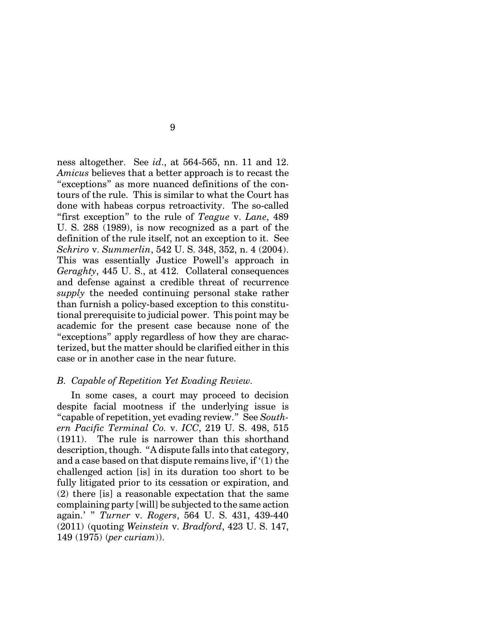ness altogether. See *id*., at 564-565, nn. 11 and 12. *Amicus* believes that a better approach is to recast the "exceptions" as more nuanced definitions of the contours of the rule. This is similar to what the Court has done with habeas corpus retroactivity. The so-called "first exception" to the rule of *Teague* v. *Lane*, 489 U. S. 288 (1989), is now recognized as a part of the definition of the rule itself, not an exception to it. See *Schriro* v. *Summerlin*, 542 U. S. 348, 352, n. 4 (2004). This was essentially Justice Powell's approach in *Geraghty*, 445 U. S., at 412. Collateral consequences and defense against a credible threat of recurrence *supply* the needed continuing personal stake rather than furnish a policy-based exception to this constitutional prerequisite to judicial power. This point may be academic for the present case because none of the "exceptions" apply regardless of how they are characterized, but the matter should be clarified either in this case or in another case in the near future.

#### *B. Capable of Repetition Yet Evading Review.*

In some cases, a court may proceed to decision despite facial mootness if the underlying issue is "capable of repetition, yet evading review." See *Southern Pacific Terminal Co.* v. *ICC*, 219 U. S. 498, 515 (1911). The rule is narrower than this shorthand description, though. "A dispute falls into that category, and a case based on that dispute remains live, if '(1) the challenged action [is] in its duration too short to be fully litigated prior to its cessation or expiration, and (2) there [is] a reasonable expectation that the same complaining party [will] be subjected to the same action again.' " *Turner* v. *Rogers*, 564 U. S. 431, 439-440 (2011) (quoting *Weinstein* v. *Bradford*, 423 U. S. 147, 149 (1975) (*per curiam*)).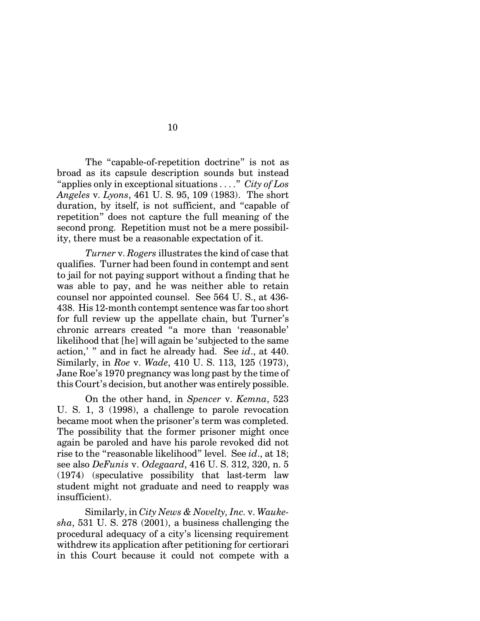The "capable-of-repetition doctrine" is not as broad as its capsule description sounds but instead "applies only in exceptional situations . . . ." *City of Los Angeles* v. *Lyons*, 461 U. S. 95, 109 (1983). The short duration, by itself, is not sufficient, and "capable of repetition" does not capture the full meaning of the second prong. Repetition must not be a mere possibility, there must be a reasonable expectation of it.

*Turner* v. *Rogers* illustrates the kind of case that qualifies. Turner had been found in contempt and sent to jail for not paying support without a finding that he was able to pay, and he was neither able to retain counsel nor appointed counsel. See 564 U. S., at 436- 438. His 12-month contempt sentence was far too short for full review up the appellate chain, but Turner's chronic arrears created "a more than 'reasonable' likelihood that [he] will again be 'subjected to the same action,' " and in fact he already had. See *id*., at 440. Similarly, in *Roe* v. *Wade*, 410 U. S. 113, 125 (1973), Jane Roe's 1970 pregnancy was long past by the time of this Court's decision, but another was entirely possible.

On the other hand, in *Spencer* v. *Kemna*, 523 U. S. 1, 3 (1998), a challenge to parole revocation became moot when the prisoner's term was completed. The possibility that the former prisoner might once again be paroled and have his parole revoked did not rise to the "reasonable likelihood" level. See *id*., at 18; see also *DeFunis* v. *Odegaard*, 416 U. S. 312, 320, n. 5 (1974) (speculative possibility that last-term law student might not graduate and need to reapply was insufficient).

Similarly, in *City News & Novelty, Inc.* v. *Waukesha*, 531 U. S. 278 (2001), a business challenging the procedural adequacy of a city's licensing requirement withdrew its application after petitioning for certiorari in this Court because it could not compete with a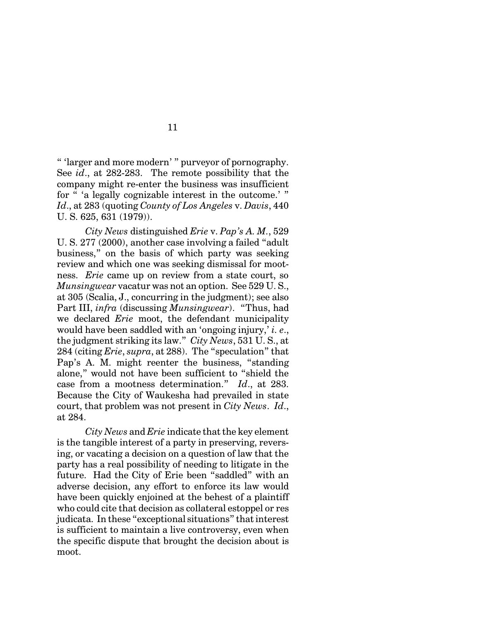" 'larger and more modern' " purveyor of pornography. See *id*., at 282-283. The remote possibility that the company might re-enter the business was insufficient for " 'a legally cognizable interest in the outcome.' " *Id*., at 283 (quoting *County of Los Angeles* v. *Davis*, 440 U. S. 625, 631 (1979)).

*City News* distinguished *Erie* v. *Pap's A. M.*, 529 U. S. 277 (2000), another case involving a failed "adult business," on the basis of which party was seeking review and which one was seeking dismissal for mootness. *Erie* came up on review from a state court, so *Munsingwear* vacatur was not an option. See 529 U. S., at 305 (Scalia, J., concurring in the judgment); see also Part III, *infra* (discussing *Munsingwear*). "Thus, had we declared *Erie* moot, the defendant municipality would have been saddled with an 'ongoing injury,' *i. e*., the judgment striking its law." *City News*, 531 U. S., at 284 (citing *Erie*, *supra*, at 288). The "speculation" that Pap's A. M. might reenter the business, "standing alone," would not have been sufficient to "shield the case from a mootness determination." *Id*., at 283. Because the City of Waukesha had prevailed in state court, that problem was not present in *City News*. *Id*., at 284.

*City News* and *Erie* indicate that the key element is the tangible interest of a party in preserving, reversing, or vacating a decision on a question of law that the party has a real possibility of needing to litigate in the future. Had the City of Erie been "saddled" with an adverse decision, any effort to enforce its law would have been quickly enjoined at the behest of a plaintiff who could cite that decision as collateral estoppel or res judicata. In these "exceptional situations" that interest is sufficient to maintain a live controversy, even when the specific dispute that brought the decision about is moot.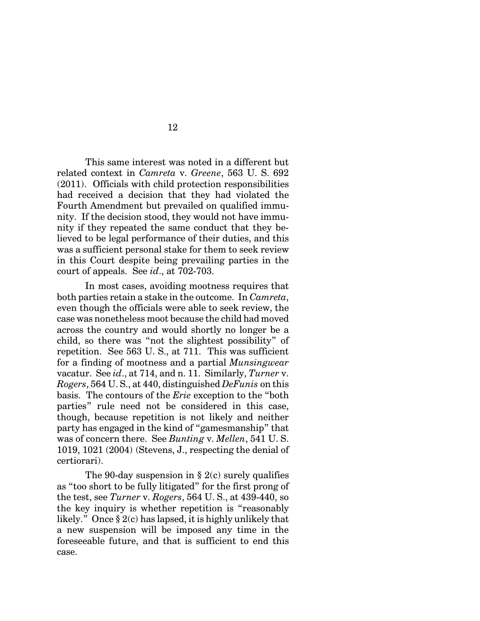This same interest was noted in a different but related context in *Camreta* v. *Greene*, 563 U. S. 692 (2011). Officials with child protection responsibilities had received a decision that they had violated the Fourth Amendment but prevailed on qualified immunity. If the decision stood, they would not have immunity if they repeated the same conduct that they believed to be legal performance of their duties, and this was a sufficient personal stake for them to seek review in this Court despite being prevailing parties in the court of appeals. See *id*., at 702-703.

In most cases, avoiding mootness requires that both parties retain a stake in the outcome. In *Camreta*, even though the officials were able to seek review, the case was nonetheless moot because the child had moved across the country and would shortly no longer be a child, so there was "not the slightest possibility" of repetition. See 563 U. S., at 711. This was sufficient for a finding of mootness and a partial *Munsingwear* vacatur. See *id*., at 714, and n. 11. Similarly, *Turner* v. *Rogers*, 564 U. S., at 440, distinguished *DeFunis* on this basis. The contours of the *Erie* exception to the "both parties" rule need not be considered in this case, though, because repetition is not likely and neither party has engaged in the kind of "gamesmanship" that was of concern there. See *Bunting* v. *Mellen*, 541 U. S. 1019, 1021 (2004) (Stevens, J., respecting the denial of certiorari).

The 90-day suspension in  $\S$  2(c) surely qualifies as "too short to be fully litigated" for the first prong of the test, see *Turner* v. *Rogers*, 564 U. S., at 439-440, so the key inquiry is whether repetition is "reasonably likely." Once § 2(c) has lapsed, it is highly unlikely that a new suspension will be imposed any time in the foreseeable future, and that is sufficient to end this case.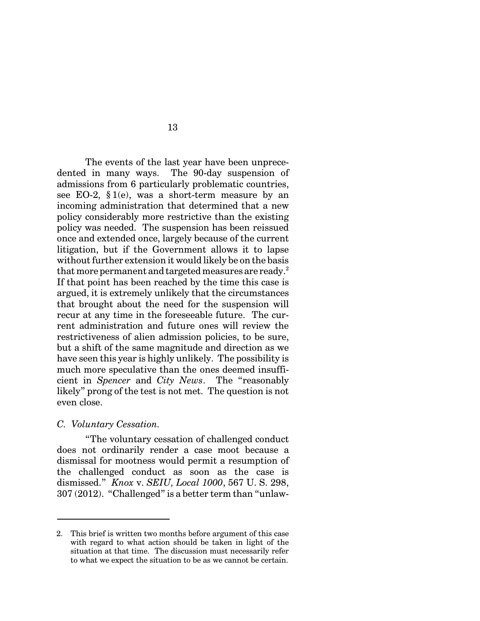The events of the last year have been unprecedented in many ways. The 90-day suspension of admissions from 6 particularly problematic countries, see EO-2,  $$1(e)$ , was a short-term measure by an incoming administration that determined that a new policy considerably more restrictive than the existing policy was needed. The suspension has been reissued once and extended once, largely because of the current litigation, but if the Government allows it to lapse without further extension it would likely be on the basis that more permanent and targeted measures are ready.<sup>2</sup> If that point has been reached by the time this case is argued, it is extremely unlikely that the circumstances that brought about the need for the suspension will recur at any time in the foreseeable future. The current administration and future ones will review the restrictiveness of alien admission policies, to be sure, but a shift of the same magnitude and direction as we have seen this year is highly unlikely. The possibility is much more speculative than the ones deemed insufficient in *Spencer* and *City News*. The "reasonably likely" prong of the test is not met. The question is not even close.

#### *C. Voluntary Cessation.*

"The voluntary cessation of challenged conduct does not ordinarily render a case moot because a dismissal for mootness would permit a resumption of the challenged conduct as soon as the case is dismissed." *Knox* v. *SEIU, Local 1000*, 567 U. S. 298, 307 (2012). "Challenged" is a better term than "unlaw-

<sup>2.</sup> This brief is written two months before argument of this case with regard to what action should be taken in light of the situation at that time. The discussion must necessarily refer to what we expect the situation to be as we cannot be certain.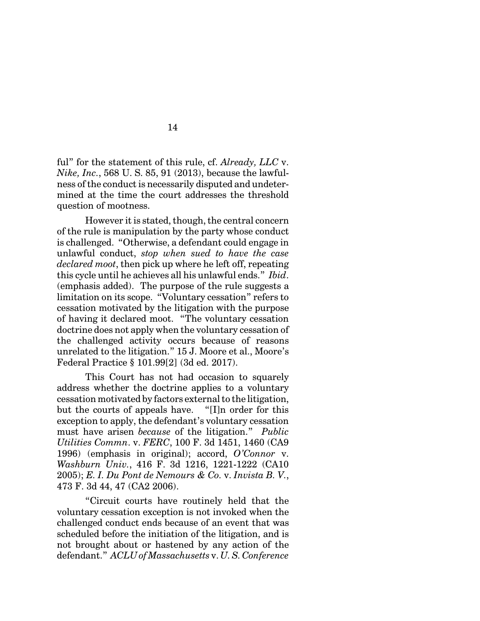ful" for the statement of this rule, cf. *Already, LLC* v. *Nike, Inc.*, 568 U. S. 85, 91 (2013), because the lawfulness of the conduct is necessarily disputed and undetermined at the time the court addresses the threshold question of mootness.

However it is stated, though, the central concern of the rule is manipulation by the party whose conduct is challenged. "Otherwise, a defendant could engage in unlawful conduct, *stop when sued to have the case declared moot*, then pick up where he left off, repeating this cycle until he achieves all his unlawful ends." *Ibid*. (emphasis added). The purpose of the rule suggests a limitation on its scope. "Voluntary cessation" refers to cessation motivated by the litigation with the purpose of having it declared moot. "The voluntary cessation doctrine does not apply when the voluntary cessation of the challenged activity occurs because of reasons unrelated to the litigation." 15 J. Moore et al., Moore's Federal Practice § 101.99[2] (3d ed. 2017).

This Court has not had occasion to squarely address whether the doctrine applies to a voluntary cessation motivated by factors external to the litigation, but the courts of appeals have. "[I]n order for this exception to apply, the defendant's voluntary cessation must have arisen *because* of the litigation." *Public Utilities Commn*. v. *FERC*, 100 F. 3d 1451, 1460 (CA9 1996) (emphasis in original); accord, *O'Connor* v. *Washburn Univ.*, 416 F. 3d 1216, 1221-1222 (CA10 2005); *E. I. Du Pont de Nemours & Co.* v. *Invista B. V.*, 473 F. 3d 44, 47 (CA2 2006).

"Circuit courts have routinely held that the voluntary cessation exception is not invoked when the challenged conduct ends because of an event that was scheduled before the initiation of the litigation, and is not brought about or hastened by any action of the defendant." *ACLU of Massachusetts* v. *U. S. Conference*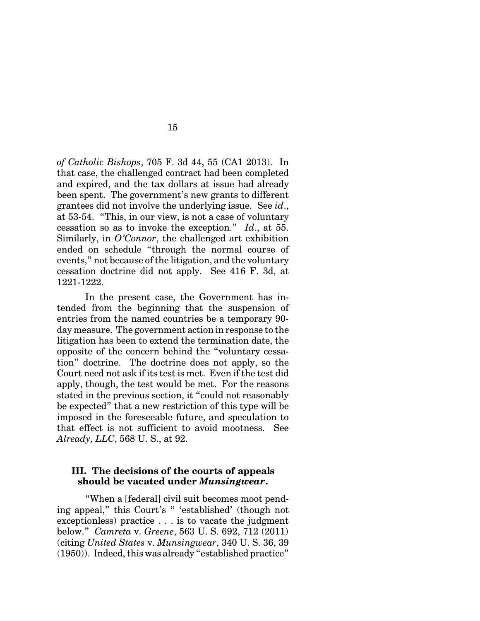*of Catholic Bishops*, 705 F. 3d 44, 55 (CA1 2013). In that case, the challenged contract had been completed and expired, and the tax dollars at issue had already been spent. The government's new grants to different grantees did not involve the underlying issue. See *id*., at 53-54. "This, in our view, is not a case of voluntary cessation so as to invoke the exception." *Id*., at 55. Similarly, in *O'Connor*, the challenged art exhibition ended on schedule "through the normal course of events," not because of the litigation, and the voluntary cessation doctrine did not apply. See 416 F. 3d, at 1221-1222.

15

In the present case, the Government has intended from the beginning that the suspension of entries from the named countries be a temporary 90 day measure. The government action in response to the litigation has been to extend the termination date, the opposite of the concern behind the "voluntary cessation" doctrine. The doctrine does not apply, so the Court need not ask if its test is met. Even if the test did apply, though, the test would be met. For the reasons stated in the previous section, it "could not reasonably be expected" that a new restriction of this type will be imposed in the foreseeable future, and speculation to that effect is not sufficient to avoid mootness. See *Already, LLC*, 568 U. S., at 92.

## **III. The decisions of the courts of appeals should be vacated under** *Munsingwear***.**

"When a [federal] civil suit becomes moot pending appeal," this Court's " 'established' (though not exceptionless) practice . . . is to vacate the judgment below." *Camreta* v. *Greene*, 563 U. S. 692, 712 (2011) (citing *United States* v. *Munsingwear*, 340 U. S. 36, 39 (1950)). Indeed, this was already "established practice"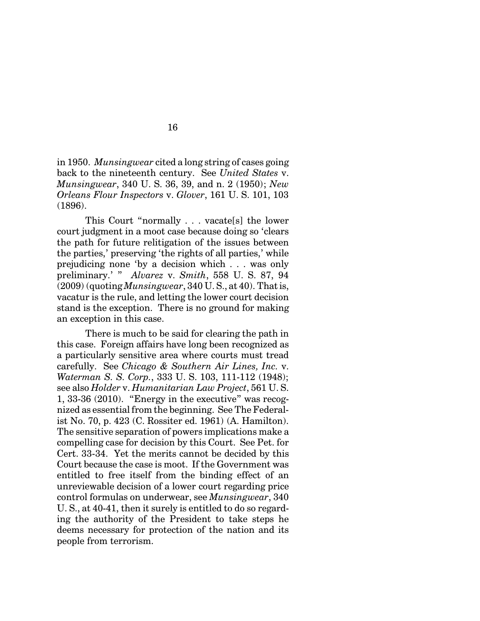in 1950. *Munsingwear* cited a long string of cases going back to the nineteenth century. See *United States* v. *Munsingwear*, 340 U. S. 36, 39, and n. 2 (1950); *New Orleans Flour Inspectors* v. *Glover*, 161 U. S. 101, 103 (1896).

This Court "normally . . . vacate[s] the lower court judgment in a moot case because doing so 'clears the path for future relitigation of the issues between the parties,' preserving 'the rights of all parties,' while prejudicing none 'by a decision which . . . was only preliminary.' " *Alvarez* v. *Smith*, 558 U. S. 87, 94 (2009) (quoting *Munsingwear*, 340 U. S., at 40). That is, vacatur is the rule, and letting the lower court decision stand is the exception. There is no ground for making an exception in this case.

There is much to be said for clearing the path in this case. Foreign affairs have long been recognized as a particularly sensitive area where courts must tread carefully. See *Chicago & Southern Air Lines, Inc.* v. *Waterman S. S. Corp.*, 333 U. S. 103, 111-112 (1948); see also *Holder* v. *Humanitarian Law Project*, 561 U. S. 1, 33-36 (2010). "Energy in the executive" was recognized as essential from the beginning. See The Federalist No. 70, p. 423 (C. Rossiter ed. 1961) (A. Hamilton). The sensitive separation of powers implications make a compelling case for decision by this Court. See Pet. for Cert. 33-34. Yet the merits cannot be decided by this Court because the case is moot. If the Government was entitled to free itself from the binding effect of an unreviewable decision of a lower court regarding price control formulas on underwear, see *Munsingwear*, 340 U. S., at 40-41, then it surely is entitled to do so regarding the authority of the President to take steps he deems necessary for protection of the nation and its people from terrorism.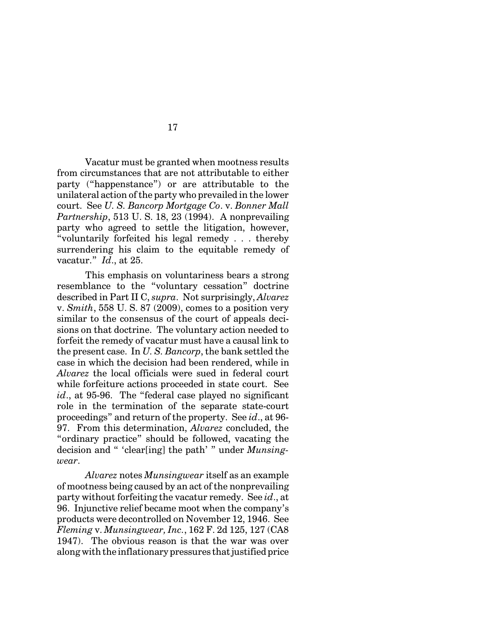Vacatur must be granted when mootness results from circumstances that are not attributable to either party ("happenstance") or are attributable to the unilateral action of the party who prevailed in the lower court. See *U. S. Bancorp Mortgage Co*. v. *Bonner Mall Partnership*, 513 U. S. 18, 23 (1994). A nonprevailing party who agreed to settle the litigation, however, "voluntarily forfeited his legal remedy . . . thereby surrendering his claim to the equitable remedy of vacatur." *Id*., at 25.

This emphasis on voluntariness bears a strong resemblance to the "voluntary cessation" doctrine described in Part II C, *supra*. Not surprisingly, *Alvarez* v. *Smith*, 558 U. S. 87 (2009), comes to a position very similar to the consensus of the court of appeals decisions on that doctrine. The voluntary action needed to forfeit the remedy of vacatur must have a causal link to the present case. In *U. S. Bancorp*, the bank settled the case in which the decision had been rendered, while in *Alvarez* the local officials were sued in federal court while forfeiture actions proceeded in state court. See *id*., at 95-96. The "federal case played no significant role in the termination of the separate state-court proceedings" and return of the property. See *id*., at 96- 97. From this determination, *Alvarez* concluded, the "ordinary practice" should be followed, vacating the decision and " 'clear[ing] the path' " under *Munsingwear*.

*Alvarez* notes *Munsingwear* itself as an example of mootness being caused by an act of the nonprevailing party without forfeiting the vacatur remedy. See *id*., at 96. Injunctive relief became moot when the company's products were decontrolled on November 12, 1946. See *Fleming* v. *Munsingwear, Inc.*, 162 F. 2d 125, 127 (CA8 1947). The obvious reason is that the war was over along with the inflationary pressures that justified price